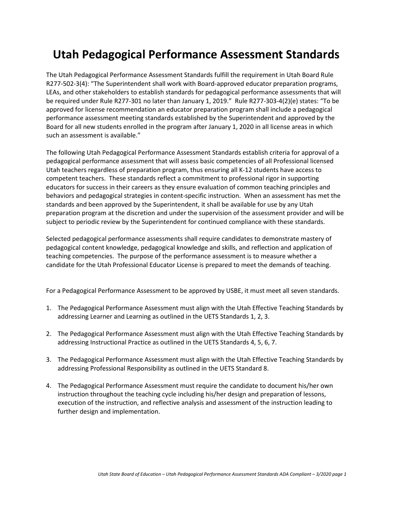## **Utah Pedagogical Performance Assessment Standards**

The Utah Pedagogical Performance Assessment Standards fulfill the requirement in Utah Board Rule R277-502-3(4): "The Superintendent shall work with Board-approved educator preparation programs, LEAs, and other stakeholders to establish standards for pedagogical performance assessments that will be required under Rule R277-301 no later than January 1, 2019." Rule R277-303-4(2)(e) states: "To be approved for license recommendation an educator preparation program shall include a pedagogical performance assessment meeting standards established by the Superintendent and approved by the Board for all new students enrolled in the program after January 1, 2020 in all license areas in which such an assessment is available."

The following Utah Pedagogical Performance Assessment Standards establish criteria for approval of a pedagogical performance assessment that will assess basic competencies of all Professional licensed Utah teachers regardless of preparation program, thus ensuring all K-12 students have access to competent teachers. These standards reflect a commitment to professional rigor in supporting educators for success in their careers as they ensure evaluation of common teaching principles and behaviors and pedagogical strategies in content-specific instruction. When an assessment has met the standards and been approved by the Superintendent, it shall be available for use by any Utah preparation program at the discretion and under the supervision of the assessment provider and will be subject to periodic review by the Superintendent for continued compliance with these standards.

Selected pedagogical performance assessments shall require candidates to demonstrate mastery of pedagogical content knowledge, pedagogical knowledge and skills, and reflection and application of teaching competencies. The purpose of the performance assessment is to measure whether a candidate for the Utah Professional Educator License is prepared to meet the demands of teaching.

For a Pedagogical Performance Assessment to be approved by USBE, it must meet all seven standards.

- 1. The Pedagogical Performance Assessment must align with the Utah Effective Teaching Standards by addressing Learner and Learning as outlined in the UETS Standards 1, 2, 3.
- 2. The Pedagogical Performance Assessment must align with the Utah Effective Teaching Standards by addressing Instructional Practice as outlined in the UETS Standards 4, 5, 6, 7.
- 3. The Pedagogical Performance Assessment must align with the Utah Effective Teaching Standards by addressing Professional Responsibility as outlined in the UETS Standard 8.
- 4. The Pedagogical Performance Assessment must require the candidate to document his/her own instruction throughout the teaching cycle including his/her design and preparation of lessons, execution of the instruction, and reflective analysis and assessment of the instruction leading to further design and implementation.